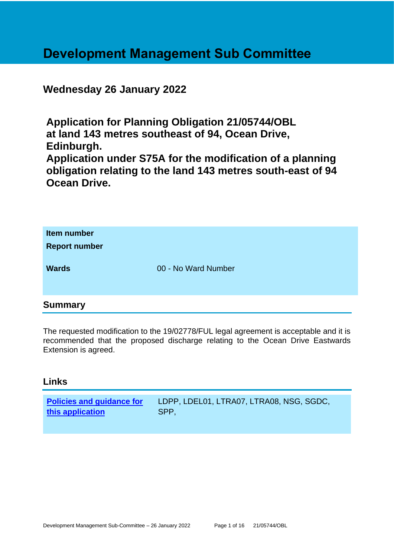## **Development Management Sub Committee**

**Wednesday 26 January 2022**

**Application for Planning Obligation 21/05744/OBL at land 143 metres southeast of 94, Ocean Drive, Edinburgh. Application under S75A for the modification of a planning obligation relating to the land 143 metres south-east of 94 Ocean Drive.**

| Item number<br><b>Report number</b> |                     |
|-------------------------------------|---------------------|
| <b>Wards</b>                        | 00 - No Ward Number |

## **Summary**

The requested modification to the 19/02778/FUL legal agreement is acceptable and it is recommended that the proposed discharge relating to the Ocean Drive Eastwards Extension is agreed.

## **Links**

| <b>Policies and guidance for</b> | LDPP, LDEL01, LTRA07, LTRA08, NSG, SGDC, |
|----------------------------------|------------------------------------------|
| this application                 | SPP.                                     |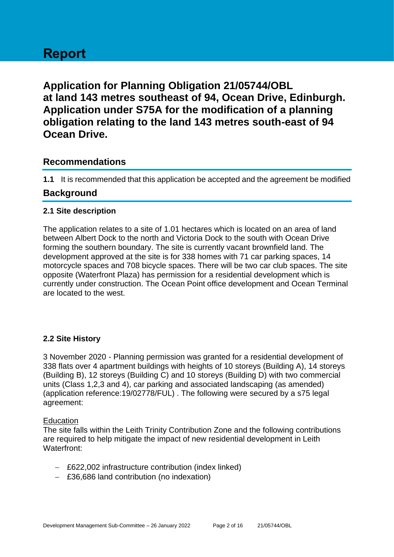## **Report**

**Application for Planning Obligation 21/05744/OBL at land 143 metres southeast of 94, Ocean Drive, Edinburgh. Application under S75A for the modification of a planning obligation relating to the land 143 metres south-east of 94 Ocean Drive.**

## **Recommendations**

**1.1** It is recommended that this application be accepted and the agreement be modified

## **Background**

#### **2.1 Site description**

The application relates to a site of 1.01 hectares which is located on an area of land between Albert Dock to the north and Victoria Dock to the south with Ocean Drive forming the southern boundary. The site is currently vacant brownfield land. The development approved at the site is for 338 homes with 71 car parking spaces, 14 motorcycle spaces and 708 bicycle spaces. There will be two car club spaces. The site opposite (Waterfront Plaza) has permission for a residential development which is currently under construction. The Ocean Point office development and Ocean Terminal are located to the west.

## **2.2 Site History**

3 November 2020 - Planning permission was granted for a residential development of 338 flats over 4 apartment buildings with heights of 10 storeys (Building A), 14 storeys (Building B), 12 storeys (Building C) and 10 storeys (Building D) with two commercial units (Class 1,2,3 and 4), car parking and associated landscaping (as amended) (application reference:19/02778/FUL) . The following were secured by a s75 legal agreement:

#### **Education**

The site falls within the Leith Trinity Contribution Zone and the following contributions are required to help mitigate the impact of new residential development in Leith Waterfront:

- − £622,002 infrastructure contribution (index linked)
- − £36,686 land contribution (no indexation)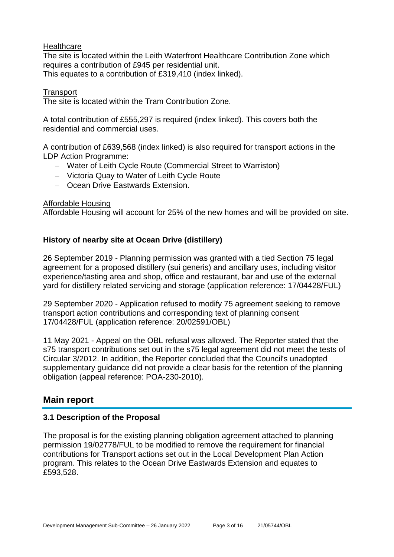#### **Healthcare**

The site is located within the Leith Waterfront Healthcare Contribution Zone which requires a contribution of £945 per residential unit. This equates to a contribution of £319,410 (index linked).

#### **Transport**

The site is located within the Tram Contribution Zone.

A total contribution of £555,297 is required (index linked). This covers both the residential and commercial uses.

A contribution of £639,568 (index linked) is also required for transport actions in the LDP Action Programme:

- − Water of Leith Cycle Route (Commercial Street to Warriston)
- − Victoria Quay to Water of Leith Cycle Route
- − Ocean Drive Eastwards Extension.

#### Affordable Housing

Affordable Housing will account for 25% of the new homes and will be provided on site.

#### **History of nearby site at Ocean Drive (distillery)**

26 September 2019 - Planning permission was granted with a tied Section 75 legal agreement for a proposed distillery (sui generis) and ancillary uses, including visitor experience/tasting area and shop, office and restaurant, bar and use of the external yard for distillery related servicing and storage (application reference: 17/04428/FUL)

29 September 2020 - Application refused to modify 75 agreement seeking to remove transport action contributions and corresponding text of planning consent 17/04428/FUL (application reference: 20/02591/OBL)

11 May 2021 - Appeal on the OBL refusal was allowed. The Reporter stated that the s75 transport contributions set out in the s75 legal agreement did not meet the tests of Circular 3/2012. In addition, the Reporter concluded that the Council's unadopted supplementary guidance did not provide a clear basis for the retention of the planning obligation (appeal reference: POA-230-2010).

## **Main report**

#### **3.1 Description of the Proposal**

The proposal is for the existing planning obligation agreement attached to planning permission 19/02778/FUL to be modified to remove the requirement for financial contributions for Transport actions set out in the Local Development Plan Action program. This relates to the Ocean Drive Eastwards Extension and equates to £593,528.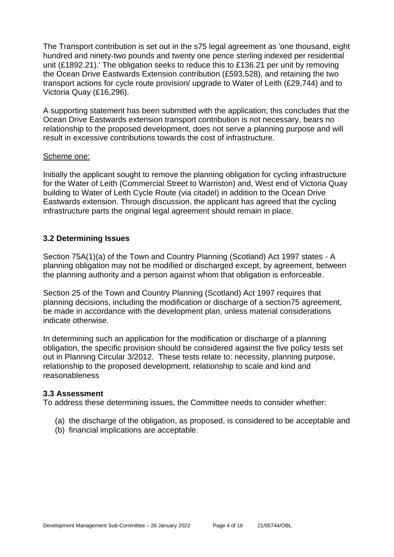The Transport contribution is set out in the s75 legal agreement as 'one thousand, eight hundred and ninety-two pounds and twenty one pence sterling indexed per residential unit (£1892.21).' The obligation seeks to reduce this to £136.21 per unit by removing the Ocean Drive Eastwards Extension contribution (£593,528), and retaining the two transport actions for cycle route provision/ upgrade to Water of Leith (£29,744) and to Victoria Quay (£16,296).

A supporting statement has been submitted with the application; this concludes that the Ocean Drive Eastwards extension transport contribution is not necessary, bears no relationship to the proposed development, does not serve a planning purpose and will result in excessive contributions towards the cost of infrastructure.

#### Scheme one:

Initially the applicant sought to remove the planning obligation for cycling infrastructure for the Water of Leith (Commercial Street to Warriston) and, West end of Victoria Quay building to Water of Leith Cycle Route (via citadel) in addition to the Ocean Drive Eastwards extension. Through discussion, the applicant has agreed that the cycling infrastructure parts the original legal agreement should remain in place.

#### **3.2 Determining Issues**

Section 75A(1)(a) of the Town and Country Planning (Scotland) Act 1997 states - A planning obligation may not be modified or discharged except, by agreement, between the planning authority and a person against whom that obligation is enforceable.

Section 25 of the Town and Country Planning (Scotland) Act 1997 requires that planning decisions, including the modification or discharge of a section75 agreement, be made in accordance with the development plan, unless material considerations indicate otherwise.

In determining such an application for the modification or discharge of a planning obligation, the specific provision should be considered against the five policy tests set out in Planning Circular 3/2012. These tests relate to: necessity, planning purpose, relationship to the proposed development, relationship to scale and kind and reasonableness

#### **3.3 Assessment**

To address these determining issues, the Committee needs to consider whether:

- (a) the discharge of the obligation, as proposed, is considered to be acceptable and
- (b) financial implications are acceptable.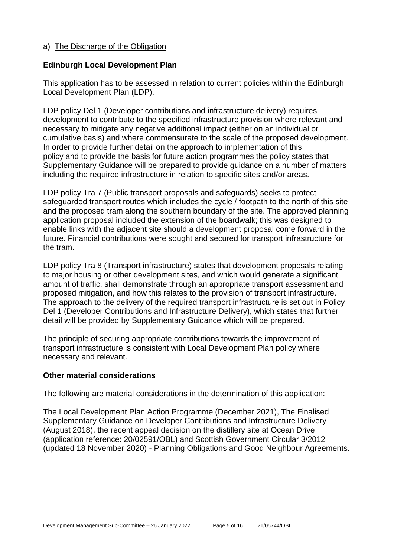#### a) The Discharge of the Obligation

#### **Edinburgh Local Development Plan**

This application has to be assessed in relation to current policies within the Edinburgh Local Development Plan (LDP).

LDP policy Del 1 (Developer contributions and infrastructure delivery) requires development to contribute to the specified infrastructure provision where relevant and necessary to mitigate any negative additional impact (either on an individual or cumulative basis) and where commensurate to the scale of the proposed development. In order to provide further detail on the approach to implementation of this policy and to provide the basis for future action programmes the policy states that Supplementary Guidance will be prepared to provide guidance on a number of matters including the required infrastructure in relation to specific sites and/or areas.

LDP policy Tra 7 (Public transport proposals and safeguards) seeks to protect safeguarded transport routes which includes the cycle / footpath to the north of this site and the proposed tram along the southern boundary of the site. The approved planning application proposal included the extension of the boardwalk; this was designed to enable links with the adjacent site should a development proposal come forward in the future. Financial contributions were sought and secured for transport infrastructure for the tram.

LDP policy Tra 8 (Transport infrastructure) states that development proposals relating to major housing or other development sites, and which would generate a significant amount of traffic, shall demonstrate through an appropriate transport assessment and proposed mitigation, and how this relates to the provision of transport infrastructure. The approach to the delivery of the required transport infrastructure is set out in Policy Del 1 (Developer Contributions and Infrastructure Delivery), which states that further detail will be provided by Supplementary Guidance which will be prepared.

The principle of securing appropriate contributions towards the improvement of transport infrastructure is consistent with Local Development Plan policy where necessary and relevant.

#### **Other material considerations**

The following are material considerations in the determination of this application:

The Local Development Plan Action Programme (December 2021), The Finalised Supplementary Guidance on Developer Contributions and Infrastructure Delivery (August 2018), the recent appeal decision on the distillery site at Ocean Drive (application reference: 20/02591/OBL) and Scottish Government Circular 3/2012 (updated 18 November 2020) - Planning Obligations and Good Neighbour Agreements.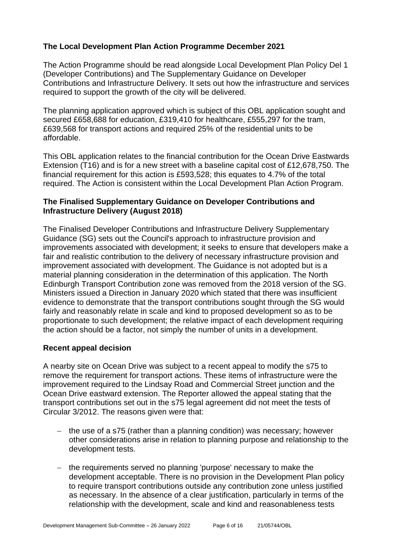## **The Local Development Plan Action Programme December 2021**

The Action Programme should be read alongside Local Development Plan Policy Del 1 (Developer Contributions) and The Supplementary Guidance on Developer Contributions and Infrastructure Delivery. It sets out how the infrastructure and services required to support the growth of the city will be delivered.

The planning application approved which is subject of this OBL application sought and secured £658,688 for education, £319,410 for healthcare, £555,297 for the tram, £639,568 for transport actions and required 25% of the residential units to be affordable.

This OBL application relates to the financial contribution for the Ocean Drive Eastwards Extension (T16) and is for a new street with a baseline capital cost of £12,678,750. The financial requirement for this action is £593,528; this equates to 4.7% of the total required. The Action is consistent within the Local Development Plan Action Program.

### **The Finalised Supplementary Guidance on Developer Contributions and Infrastructure Delivery (August 2018)**

The Finalised Developer Contributions and Infrastructure Delivery Supplementary Guidance (SG) sets out the Council's approach to infrastructure provision and improvements associated with development; it seeks to ensure that developers make a fair and realistic contribution to the delivery of necessary infrastructure provision and improvement associated with development. The Guidance is not adopted but is a material planning consideration in the determination of this application. The North Edinburgh Transport Contribution zone was removed from the 2018 version of the SG. Ministers issued a Direction in January 2020 which stated that there was insufficient evidence to demonstrate that the transport contributions sought through the SG would fairly and reasonably relate in scale and kind to proposed development so as to be proportionate to such development; the relative impact of each development requiring the action should be a factor, not simply the number of units in a development.

## **Recent appeal decision**

A nearby site on Ocean Drive was subject to a recent appeal to modify the s75 to remove the requirement for transport actions. These items of infrastructure were the improvement required to the Lindsay Road and Commercial Street junction and the Ocean Drive eastward extension. The Reporter allowed the appeal stating that the transport contributions set out in the s75 legal agreement did not meet the tests of Circular 3/2012. The reasons given were that:

- the use of a s75 (rather than a planning condition) was necessary; however other considerations arise in relation to planning purpose and relationship to the development tests.
- the requirements served no planning 'purpose' necessary to make the development acceptable. There is no provision in the Development Plan policy to require transport contributions outside any contribution zone unless justified as necessary. In the absence of a clear justification, particularly in terms of the relationship with the development, scale and kind and reasonableness tests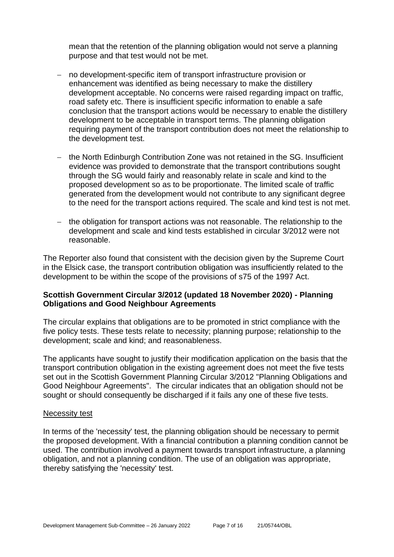mean that the retention of the planning obligation would not serve a planning purpose and that test would not be met.

- no development-specific item of transport infrastructure provision or enhancement was identified as being necessary to make the distillery development acceptable. No concerns were raised regarding impact on traffic, road safety etc. There is insufficient specific information to enable a safe conclusion that the transport actions would be necessary to enable the distillery development to be acceptable in transport terms. The planning obligation requiring payment of the transport contribution does not meet the relationship to the development test.
- − the North Edinburgh Contribution Zone was not retained in the SG. Insufficient evidence was provided to demonstrate that the transport contributions sought through the SG would fairly and reasonably relate in scale and kind to the proposed development so as to be proportionate. The limited scale of traffic generated from the development would not contribute to any significant degree to the need for the transport actions required. The scale and kind test is not met.
- the obligation for transport actions was not reasonable. The relationship to the development and scale and kind tests established in circular 3/2012 were not reasonable.

The Reporter also found that consistent with the decision given by the Supreme Court in the Elsick case, the transport contribution obligation was insufficiently related to the development to be within the scope of the provisions of s75 of the 1997 Act.

#### **Scottish Government Circular 3/2012 (updated 18 November 2020) - Planning Obligations and Good Neighbour Agreements**

The circular explains that obligations are to be promoted in strict compliance with the five policy tests. These tests relate to necessity; planning purpose; relationship to the development; scale and kind; and reasonableness.

The applicants have sought to justify their modification application on the basis that the transport contribution obligation in the existing agreement does not meet the five tests set out in the Scottish Government Planning Circular 3/2012 "Planning Obligations and Good Neighbour Agreements". The circular indicates that an obligation should not be sought or should consequently be discharged if it fails any one of these five tests.

#### Necessity test

In terms of the 'necessity' test, the planning obligation should be necessary to permit the proposed development. With a financial contribution a planning condition cannot be used. The contribution involved a payment towards transport infrastructure, a planning obligation, and not a planning condition. The use of an obligation was appropriate, thereby satisfying the 'necessity' test.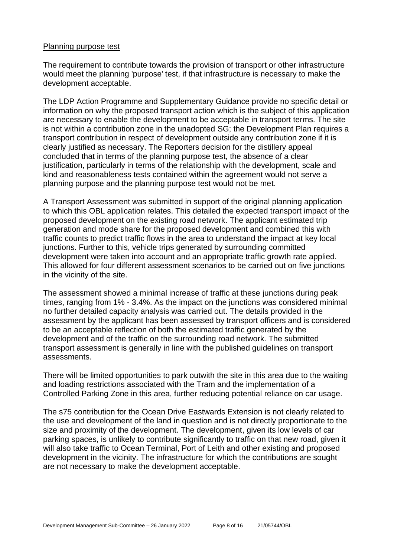#### Planning purpose test

The requirement to contribute towards the provision of transport or other infrastructure would meet the planning 'purpose' test, if that infrastructure is necessary to make the development acceptable.

The LDP Action Programme and Supplementary Guidance provide no specific detail or information on why the proposed transport action which is the subject of this application are necessary to enable the development to be acceptable in transport terms. The site is not within a contribution zone in the unadopted SG; the Development Plan requires a transport contribution in respect of development outside any contribution zone if it is clearly justified as necessary. The Reporters decision for the distillery appeal concluded that in terms of the planning purpose test, the absence of a clear justification, particularly in terms of the relationship with the development, scale and kind and reasonableness tests contained within the agreement would not serve a planning purpose and the planning purpose test would not be met.

A Transport Assessment was submitted in support of the original planning application to which this OBL application relates. This detailed the expected transport impact of the proposed development on the existing road network. The applicant estimated trip generation and mode share for the proposed development and combined this with traffic counts to predict traffic flows in the area to understand the impact at key local junctions. Further to this, vehicle trips generated by surrounding committed development were taken into account and an appropriate traffic growth rate applied. This allowed for four different assessment scenarios to be carried out on five junctions in the vicinity of the site.

The assessment showed a minimal increase of traffic at these junctions during peak times, ranging from 1% - 3.4%. As the impact on the junctions was considered minimal no further detailed capacity analysis was carried out. The details provided in the assessment by the applicant has been assessed by transport officers and is considered to be an acceptable reflection of both the estimated traffic generated by the development and of the traffic on the surrounding road network. The submitted transport assessment is generally in line with the published guidelines on transport assessments.

There will be limited opportunities to park outwith the site in this area due to the waiting and loading restrictions associated with the Tram and the implementation of a Controlled Parking Zone in this area, further reducing potential reliance on car usage.

The s75 contribution for the Ocean Drive Eastwards Extension is not clearly related to the use and development of the land in question and is not directly proportionate to the size and proximity of the development. The development, given its low levels of car parking spaces, is unlikely to contribute significantly to traffic on that new road, given it will also take traffic to Ocean Terminal, Port of Leith and other existing and proposed development in the vicinity. The infrastructure for which the contributions are sought are not necessary to make the development acceptable.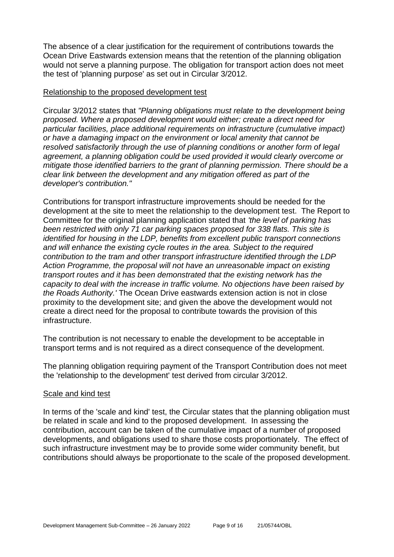The absence of a clear justification for the requirement of contributions towards the Ocean Drive Eastwards extension means that the retention of the planning obligation would not serve a planning purpose. The obligation for transport action does not meet the test of 'planning purpose' as set out in Circular 3/2012.

#### Relationship to the proposed development test

Circular 3/2012 states that *"Planning obligations must relate to the development being proposed. Where a proposed development would either; create a direct need for particular facilities, place additional requirements on infrastructure (cumulative impact) or have a damaging impact on the environment or local amenity that cannot be resolved satisfactorily through the use of planning conditions or another form of legal agreement, a planning obligation could be used provided it would clearly overcome or mitigate those identified barriers to the grant of planning permission. There should be a clear link between the development and any mitigation offered as part of the developer's contribution."*

Contributions for transport infrastructure improvements should be needed for the development at the site to meet the relationship to the development test. The Report to Committee for the original planning application stated that *'the level of parking has been restricted with only 71 car parking spaces proposed for 338 flats. This site is identified for housing in the LDP, benefits from excellent public transport connections and will enhance the existing cycle routes in the area. Subject to the required contribution to the tram and other transport infrastructure identified through the LDP Action Programme, the proposal will not have an unreasonable impact on existing transport routes and it has been demonstrated that the existing network has the capacity to deal with the increase in traffic volume. No objections have been raised by the Roads Authority.'* The Ocean Drive eastwards extension action is not in close proximity to the development site; and given the above the development would not create a direct need for the proposal to contribute towards the provision of this infrastructure.

The contribution is not necessary to enable the development to be acceptable in transport terms and is not required as a direct consequence of the development.

The planning obligation requiring payment of the Transport Contribution does not meet the 'relationship to the development' test derived from circular 3/2012.

#### Scale and kind test

In terms of the 'scale and kind' test, the Circular states that the planning obligation must be related in scale and kind to the proposed development. In assessing the contribution, account can be taken of the cumulative impact of a number of proposed developments, and obligations used to share those costs proportionately. The effect of such infrastructure investment may be to provide some wider community benefit, but contributions should always be proportionate to the scale of the proposed development.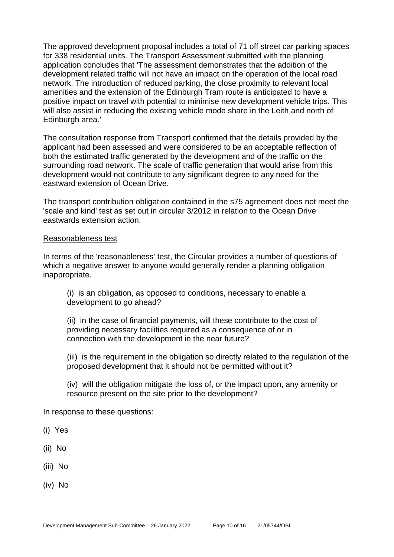The approved development proposal includes a total of 71 off street car parking spaces for 338 residential units. The Transport Assessment submitted with the planning application concludes that 'The assessment demonstrates that the addition of the development related traffic will not have an impact on the operation of the local road network. The introduction of reduced parking, the close proximity to relevant local amenities and the extension of the Edinburgh Tram route is anticipated to have a positive impact on travel with potential to minimise new development vehicle trips. This will also assist in reducing the existing vehicle mode share in the Leith and north of Edinburgh area.'

The consultation response from Transport confirmed that the details provided by the applicant had been assessed and were considered to be an acceptable reflection of both the estimated traffic generated by the development and of the traffic on the surrounding road network. The scale of traffic generation that would arise from this development would not contribute to any significant degree to any need for the eastward extension of Ocean Drive.

The transport contribution obligation contained in the s75 agreement does not meet the 'scale and kind' test as set out in circular 3/2012 in relation to the Ocean Drive eastwards extension action.

#### Reasonableness test

In terms of the 'reasonableness' test, the Circular provides a number of questions of which a negative answer to anyone would generally render a planning obligation inappropriate.

(i) is an obligation, as opposed to conditions, necessary to enable a development to go ahead?

(ii) in the case of financial payments, will these contribute to the cost of providing necessary facilities required as a consequence of or in connection with the development in the near future?

(iii) is the requirement in the obligation so directly related to the regulation of the proposed development that it should not be permitted without it?

(iv) will the obligation mitigate the loss of, or the impact upon, any amenity or resource present on the site prior to the development?

In response to these questions:

- (i) Yes
- (ii) No
- (iii) No
- (iv) No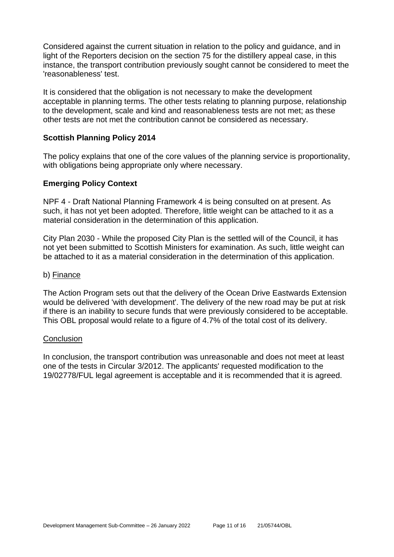Considered against the current situation in relation to the policy and guidance, and in light of the Reporters decision on the section 75 for the distillery appeal case, in this instance, the transport contribution previously sought cannot be considered to meet the 'reasonableness' test.

It is considered that the obligation is not necessary to make the development acceptable in planning terms. The other tests relating to planning purpose, relationship to the development, scale and kind and reasonableness tests are not met; as these other tests are not met the contribution cannot be considered as necessary.

#### **Scottish Planning Policy 2014**

The policy explains that one of the core values of the planning service is proportionality, with obligations being appropriate only where necessary.

#### **Emerging Policy Context**

NPF 4 - Draft National Planning Framework 4 is being consulted on at present. As such, it has not yet been adopted. Therefore, little weight can be attached to it as a material consideration in the determination of this application.

City Plan 2030 - While the proposed City Plan is the settled will of the Council, it has not yet been submitted to Scottish Ministers for examination. As such, little weight can be attached to it as a material consideration in the determination of this application.

#### b) Finance

The Action Program sets out that the delivery of the Ocean Drive Eastwards Extension would be delivered 'with development'. The delivery of the new road may be put at risk if there is an inability to secure funds that were previously considered to be acceptable. This OBL proposal would relate to a figure of 4.7% of the total cost of its delivery.

#### **Conclusion**

In conclusion, the transport contribution was unreasonable and does not meet at least one of the tests in Circular 3/2012. The applicants' requested modification to the 19/02778/FUL legal agreement is acceptable and it is recommended that it is agreed.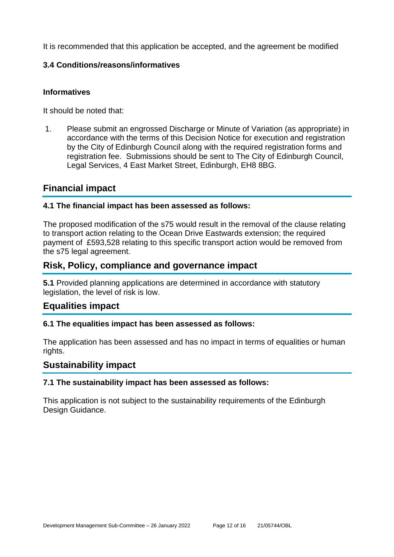It is recommended that this application be accepted, and the agreement be modified

## **3.4 Conditions/reasons/informatives**

## **Informatives**

It should be noted that:

1. Please submit an engrossed Discharge or Minute of Variation (as appropriate) in accordance with the terms of this Decision Notice for execution and registration by the City of Edinburgh Council along with the required registration forms and registration fee. Submissions should be sent to The City of Edinburgh Council, Legal Services, 4 East Market Street, Edinburgh, EH8 8BG.

## **Financial impact**

## **4.1 The financial impact has been assessed as follows:**

The proposed modification of the s75 would result in the removal of the clause relating to transport action relating to the Ocean Drive Eastwards extension; the required payment of £593,528 relating to this specific transport action would be removed from the s75 legal agreement.

## **Risk, Policy, compliance and governance impact**

**5.1** Provided planning applications are determined in accordance with statutory legislation, the level of risk is low.

## **Equalities impact**

## **6.1 The equalities impact has been assessed as follows:**

The application has been assessed and has no impact in terms of equalities or human rights.

## **Sustainability impact**

#### **7.1 The sustainability impact has been assessed as follows:**

This application is not subject to the sustainability requirements of the Edinburgh Design Guidance.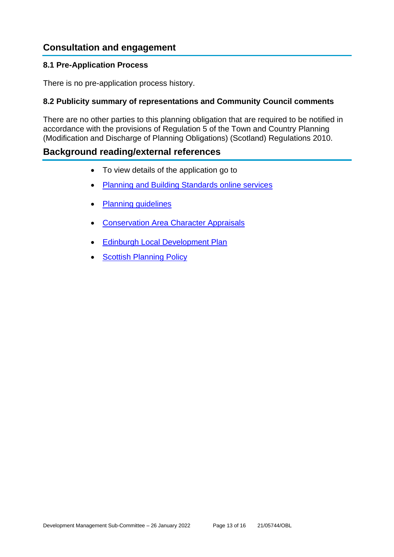## **Consultation and engagement**

#### **8.1 Pre-Application Process**

There is no pre-application process history.

### **8.2 Publicity summary of representations and Community Council comments**

There are no other parties to this planning obligation that are required to be notified in accordance with the provisions of Regulation 5 of the Town and Country Planning (Modification and Discharge of Planning Obligations) (Scotland) Regulations 2010.

## **Background reading/external references**

- To view details of the application go to
- [Planning and Building Standards online services](https://citydev-portal.edinburgh.gov.uk/idoxpa-web/search.do?action=simple&searchType=Application)
- [Planning guidelines](http://www.edinburgh.gov.uk/planningguidelines)
- [Conservation Area Character Appraisals](http://www.edinburgh.gov.uk/characterappraisals)
- [Edinburgh Local Development Plan](http://www.edinburgh.gov.uk/localdevelopmentplan)
- [Scottish Planning Policy](http://www.scotland.gov.uk/Topics/Built-Environment/planning/Policy)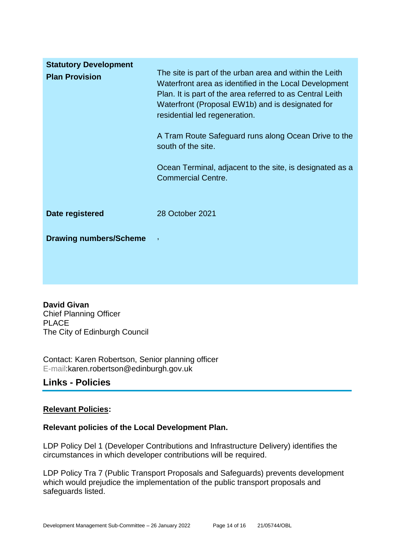| <b>Statutory Development</b>  |                                                                                                                                                                                                                                                                                                                                                                                                               |
|-------------------------------|---------------------------------------------------------------------------------------------------------------------------------------------------------------------------------------------------------------------------------------------------------------------------------------------------------------------------------------------------------------------------------------------------------------|
| <b>Plan Provision</b>         | The site is part of the urban area and within the Leith<br>Waterfront area as identified in the Local Development<br>Plan. It is part of the area referred to as Central Leith<br>Waterfront (Proposal EW1b) and is designated for<br>residential led regeneration.<br>A Tram Route Safeguard runs along Ocean Drive to the<br>south of the site.<br>Ocean Terminal, adjacent to the site, is designated as a |
|                               | <b>Commercial Centre.</b>                                                                                                                                                                                                                                                                                                                                                                                     |
| Date registered               | 28 October 2021                                                                                                                                                                                                                                                                                                                                                                                               |
| <b>Drawing numbers/Scheme</b> | $\,$                                                                                                                                                                                                                                                                                                                                                                                                          |

**David Givan** Chief Planning Officer PLACE The City of Edinburgh Council

Contact: Karen Robertson, Senior planning officer E-mail:karen.robertson@edinburgh.gov.uk

## **Links - Policies**

## **Relevant Policies:**

## **Relevant policies of the Local Development Plan.**

LDP Policy Del 1 (Developer Contributions and Infrastructure Delivery) identifies the circumstances in which developer contributions will be required.

LDP Policy Tra 7 (Public Transport Proposals and Safeguards) prevents development which would prejudice the implementation of the public transport proposals and safeguards listed.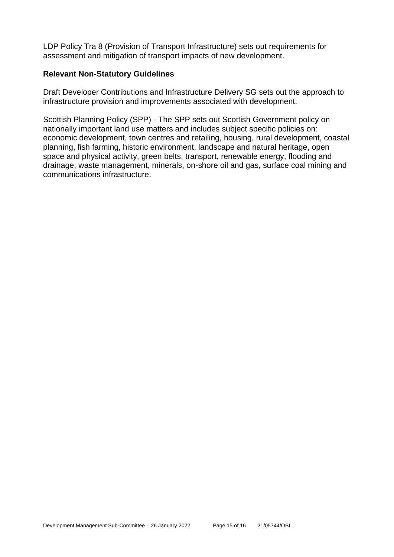LDP Policy Tra 8 (Provision of Transport Infrastructure) sets out requirements for assessment and mitigation of transport impacts of new development.

#### **Relevant Non-Statutory Guidelines**

Draft Developer Contributions and Infrastructure Delivery SG sets out the approach to infrastructure provision and improvements associated with development.

Scottish Planning Policy (SPP) - The SPP sets out Scottish Government policy on nationally important land use matters and includes subject specific policies on: economic development, town centres and retailing, housing, rural development, coastal planning, fish farming, historic environment, landscape and natural heritage, open space and physical activity, green belts, transport, renewable energy, flooding and drainage, waste management, minerals, on-shore oil and gas, surface coal mining and communications infrastructure.